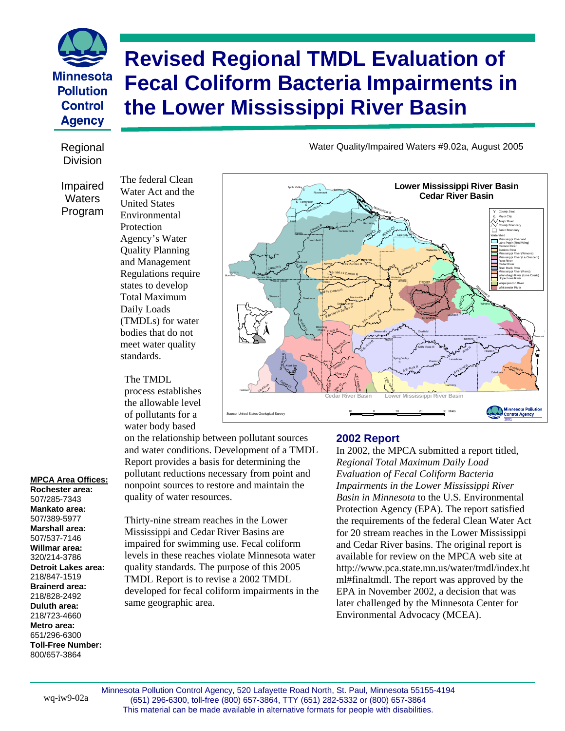# **Revised Regional TMDL Evaluation of Fecal Coliform Bacteria Impairments in the Lower Mississippi River Basin**

## Division

**Minnesota Pollution Control Agency** 

> Impaired **Waters** Program

The federal Clean Water Act and the United States Environmental **Protection** Agency's Water Quality Planning and Management Regulations require states to develop Total Maximum Daily Loads (TMDLs) for water bodies that do not meet water quality standards.

#### The TMDL

process establishes the allowable level of pollutants for a water body based

on the relationship between pollutant sources and water conditions. Development of a TMDL Report provides a basis for determining the pollutant reductions necessary from point and nonpoint sources to restore and maintain the quality of water resources.

Thirty-nine stream reaches in the Lower Mississippi and Cedar River Basins are impaired for swimming use. Fecal coliform levels in these reaches violate Minnesota water quality standards. The purpose of this 2005 TMDL Report is to revise a 2002 TMDL developed for fecal coliform impairments in the same geographic area.

#### **2002 Report**

In 2002, the MPCA submitted a report titled, *Regional Total Maximum Daily Load Evaluation of Fecal Coliform Bacteria Impairments in the Lower Mississippi River Basin in Minnesota* to the U.S. Environmental Protection Agency (EPA). The report satisfied the requirements of the federal Clean Water Act for 20 stream reaches in the Lower Mississippi and Cedar River basins. The original report is available for review on the MPCA web site at [http://www.pca.state.mn.us/water/tmdl/index.ht](http://www.pca.state.mn.us/water/tmdl/index.html#finaltmdl) [ml#finaltmdl.](http://www.pca.state.mn.us/water/tmdl/index.html#finaltmdl) The report was approved by the EPA in November 2002, a decision that was later challenged by the Minnesota Center for Environmental Advocacy (MCEA).

Regional **National Communist Communist Communist Communist Communist Communist Communist Communist Communist Communist Communist Communist Communist Communist Communist Communist Communist Communist Communist Communist Com** 



#### **MPCA Area Offices:**

**Rochester area:**  507/285-7343 **Mankato area:**  507/389-5977 **Marshall area:**  507/537-7146 **Willmar area:**  320/214-3786 **Detroit Lakes area:**  218/847-1519 **Brainerd area:**  218/828-2492 **Duluth area:**  218/723-4660 **Metro area:**  651/296-6300 **Toll-Free Number:**  800/657-3864